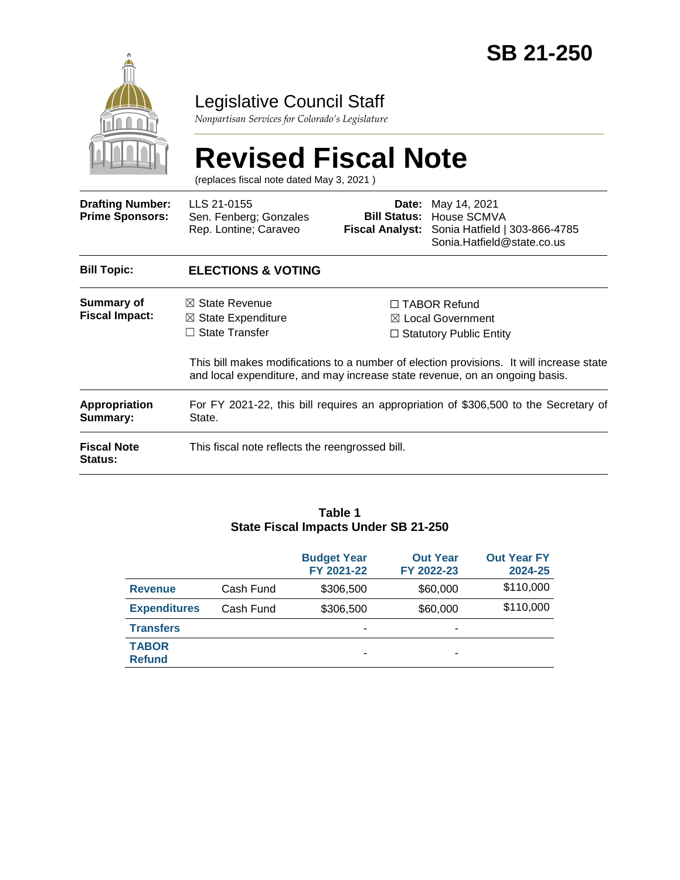

# Legislative Council Staff

*Nonpartisan Services for Colorado's Legislature*

|                                                   | <b>Revised Fiscal Note</b><br>(replaces fiscal note dated May 3, 2021)                                                                                                        |                                                                                                                                                                              |                                                                                                            |  |  |  |
|---------------------------------------------------|-------------------------------------------------------------------------------------------------------------------------------------------------------------------------------|------------------------------------------------------------------------------------------------------------------------------------------------------------------------------|------------------------------------------------------------------------------------------------------------|--|--|--|
| <b>Drafting Number:</b><br><b>Prime Sponsors:</b> | LLS 21-0155<br>Sen. Fenberg; Gonzales<br>Rep. Lontine; Caraveo                                                                                                                | Date:<br><b>Bill Status:</b>                                                                                                                                                 | May 14, 2021<br>House SCMVA<br>Fiscal Analyst: Sonia Hatfield   303-866-4785<br>Sonia.Hatfield@state.co.us |  |  |  |
| <b>Bill Topic:</b>                                | <b>ELECTIONS &amp; VOTING</b>                                                                                                                                                 |                                                                                                                                                                              |                                                                                                            |  |  |  |
| <b>Summary of</b><br><b>Fiscal Impact:</b>        | $\boxtimes$ State Revenue<br>$\boxtimes$ State Expenditure<br>State Transfer                                                                                                  | □ TABOR Refund<br><b>Local Government</b><br>⊠<br>$\Box$ Statutory Public Entity<br>This bill makes modifications to a number of election provisions. It will increase state |                                                                                                            |  |  |  |
| Appropriation<br>Summary:                         | and local expenditure, and may increase state revenue, on an ongoing basis.<br>For FY 2021-22, this bill requires an appropriation of \$306,500 to the Secretary of<br>State. |                                                                                                                                                                              |                                                                                                            |  |  |  |
| <b>Fiscal Note</b><br>Status:                     | This fiscal note reflects the reengrossed bill.                                                                                                                               |                                                                                                                                                                              |                                                                                                            |  |  |  |

#### **Table 1 State Fiscal Impacts Under SB 21-250**

|                               |           | <b>Budget Year</b><br>FY 2021-22 | <b>Out Year</b><br>FY 2022-23 | <b>Out Year FY</b><br>2024-25 |
|-------------------------------|-----------|----------------------------------|-------------------------------|-------------------------------|
| <b>Revenue</b>                | Cash Fund | \$306,500                        | \$60,000                      | \$110,000                     |
| <b>Expenditures</b>           | Cash Fund | \$306,500                        | \$60,000                      | \$110,000                     |
| <b>Transfers</b>              |           |                                  | ۰                             |                               |
| <b>TABOR</b><br><b>Refund</b> |           | -                                | ۰                             |                               |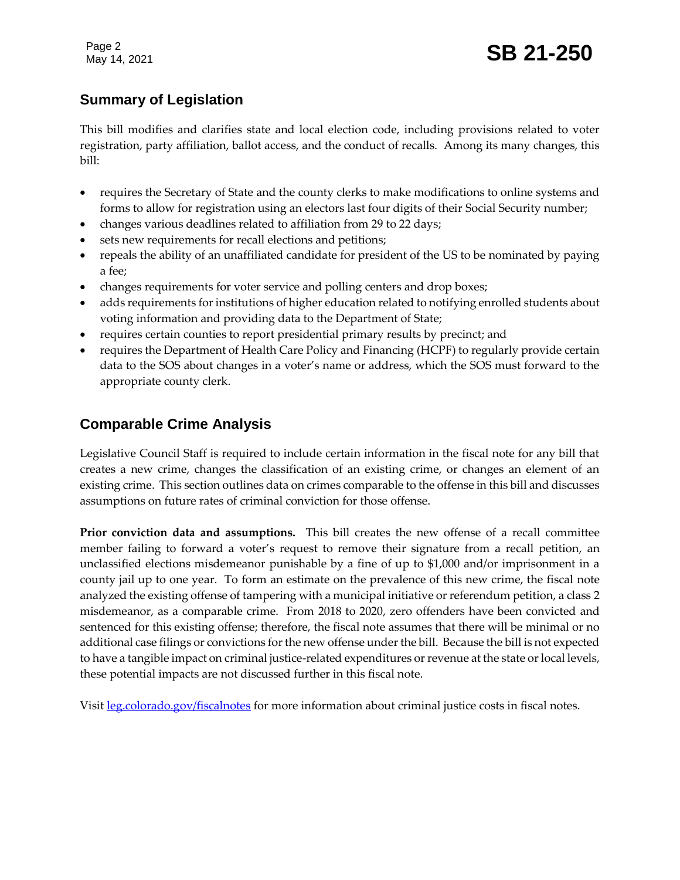Page 2

# **Summary of Legislation**

This bill modifies and clarifies state and local election code, including provisions related to voter registration, party affiliation, ballot access, and the conduct of recalls. Among its many changes, this bill:

- requires the Secretary of State and the county clerks to make modifications to online systems and forms to allow for registration using an electors last four digits of their Social Security number;
- changes various deadlines related to affiliation from 29 to 22 days;
- sets new requirements for recall elections and petitions;
- repeals the ability of an unaffiliated candidate for president of the US to be nominated by paying a fee;
- changes requirements for voter service and polling centers and drop boxes;
- adds requirements for institutions of higher education related to notifying enrolled students about voting information and providing data to the Department of State;
- requires certain counties to report presidential primary results by precinct; and
- requires the Department of Health Care Policy and Financing (HCPF) to regularly provide certain data to the SOS about changes in a voter's name or address, which the SOS must forward to the appropriate county clerk.

# **Comparable Crime Analysis**

Legislative Council Staff is required to include certain information in the fiscal note for any bill that creates a new crime, changes the classification of an existing crime, or changes an element of an existing crime. This section outlines data on crimes comparable to the offense in this bill and discusses assumptions on future rates of criminal conviction for those offense.

**Prior conviction data and assumptions.** This bill creates the new offense of a recall committee member failing to forward a voter's request to remove their signature from a recall petition, an unclassified elections misdemeanor punishable by a fine of up to \$1,000 and/or imprisonment in a county jail up to one year. To form an estimate on the prevalence of this new crime, the fiscal note analyzed the existing offense of tampering with a municipal initiative or referendum petition, a class 2 misdemeanor, as a comparable crime. From 2018 to 2020, zero offenders have been convicted and sentenced for this existing offense; therefore, the fiscal note assumes that there will be minimal or no additional case filings or convictions for the new offense under the bill. Because the bill is not expected to have a tangible impact on criminal justice-related expenditures or revenue at the state or local levels, these potential impacts are not discussed further in this fiscal note.

Visit [leg.colorado.gov/fiscalnotes](http://leg.colorado.gov/fiscalnotes/) for more information about criminal justice costs in fiscal notes.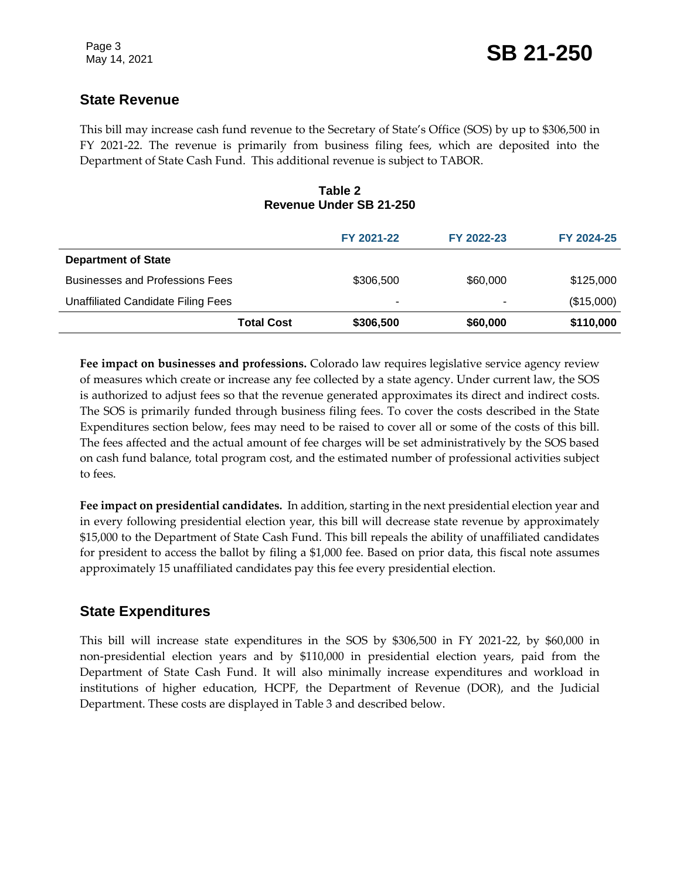## **State Revenue**

This bill may increase cash fund revenue to the Secretary of State's Office (SOS) by up to \$306,500 in FY 2021-22. The revenue is primarily from business filing fees, which are deposited into the Department of State Cash Fund. This additional revenue is subject to TABOR.

#### **Table 2 Revenue Under SB 21-250**

|                                        | FY 2021-22 | FY 2022-23 | FY 2024-25 |
|----------------------------------------|------------|------------|------------|
| <b>Department of State</b>             |            |            |            |
| <b>Businesses and Professions Fees</b> | \$306,500  | \$60,000   | \$125,000  |
| Unaffiliated Candidate Filing Fees     | -          | ۰          | (\$15,000) |
| <b>Total Cost</b>                      | \$306,500  | \$60,000   | \$110,000  |

**Fee impact on businesses and professions.** Colorado law requires legislative service agency review of measures which create or increase any fee collected by a state agency. Under current law, the SOS is authorized to adjust fees so that the revenue generated approximates its direct and indirect costs. The SOS is primarily funded through business filing fees. To cover the costs described in the State Expenditures section below, fees may need to be raised to cover all or some of the costs of this bill. The fees affected and the actual amount of fee charges will be set administratively by the SOS based on cash fund balance, total program cost, and the estimated number of professional activities subject to fees.

**Fee impact on presidential candidates.** In addition, starting in the next presidential election year and in every following presidential election year, this bill will decrease state revenue by approximately \$15,000 to the Department of State Cash Fund. This bill repeals the ability of unaffiliated candidates for president to access the ballot by filing a \$1,000 fee. Based on prior data, this fiscal note assumes approximately 15 unaffiliated candidates pay this fee every presidential election.

## **State Expenditures**

This bill will increase state expenditures in the SOS by \$306,500 in FY 2021-22, by \$60,000 in non-presidential election years and by \$110,000 in presidential election years, paid from the Department of State Cash Fund. It will also minimally increase expenditures and workload in institutions of higher education, HCPF, the Department of Revenue (DOR), and the Judicial Department. These costs are displayed in Table 3 and described below.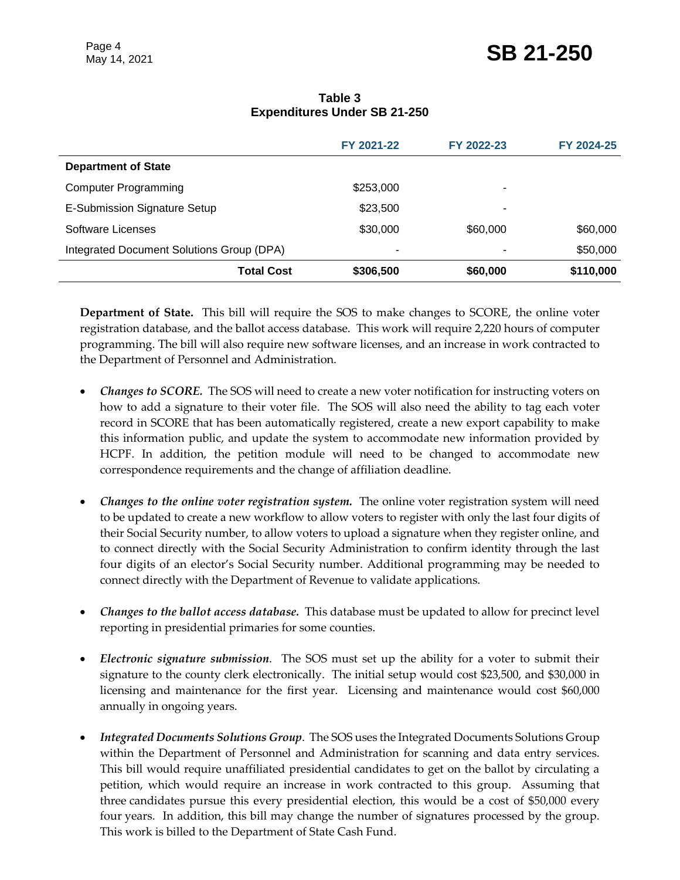|                                           | FY 2021-22 | FY 2022-23 | FY 2024-25 |
|-------------------------------------------|------------|------------|------------|
| <b>Department of State</b>                |            |            |            |
| <b>Computer Programming</b>               | \$253,000  | -          |            |
| E-Submission Signature Setup              | \$23,500   | -          |            |
| Software Licenses                         | \$30,000   | \$60,000   | \$60,000   |
| Integrated Document Solutions Group (DPA) | ۰          |            | \$50,000   |
| <b>Total Cost</b>                         | \$306,500  | \$60,000   | \$110,000  |

#### **Table 3 Expenditures Under SB 21-250**

**Department of State.** This bill will require the SOS to make changes to SCORE, the online voter registration database, and the ballot access database. This work will require 2,220 hours of computer programming. The bill will also require new software licenses, and an increase in work contracted to the Department of Personnel and Administration.

- *Changes to SCORE.* The SOS will need to create a new voter notification for instructing voters on how to add a signature to their voter file. The SOS will also need the ability to tag each voter record in SCORE that has been automatically registered, create a new export capability to make this information public, and update the system to accommodate new information provided by HCPF. In addition, the petition module will need to be changed to accommodate new correspondence requirements and the change of affiliation deadline.
- *Changes to the online voter registration system.* The online voter registration system will need to be updated to create a new workflow to allow voters to register with only the last four digits of their Social Security number, to allow voters to upload a signature when they register online, and to connect directly with the Social Security Administration to confirm identity through the last four digits of an elector's Social Security number. Additional programming may be needed to connect directly with the Department of Revenue to validate applications.
- *Changes to the ballot access database.* This database must be updated to allow for precinct level reporting in presidential primaries for some counties.
- *Electronic signature submission*. The SOS must set up the ability for a voter to submit their signature to the county clerk electronically. The initial setup would cost \$23,500, and \$30,000 in licensing and maintenance for the first year. Licensing and maintenance would cost \$60,000 annually in ongoing years.
- *Integrated Documents Solutions Group*. The SOS uses the Integrated Documents Solutions Group within the Department of Personnel and Administration for scanning and data entry services. This bill would require unaffiliated presidential candidates to get on the ballot by circulating a petition, which would require an increase in work contracted to this group. Assuming that three candidates pursue this every presidential election, this would be a cost of \$50,000 every four years. In addition, this bill may change the number of signatures processed by the group. This work is billed to the Department of State Cash Fund.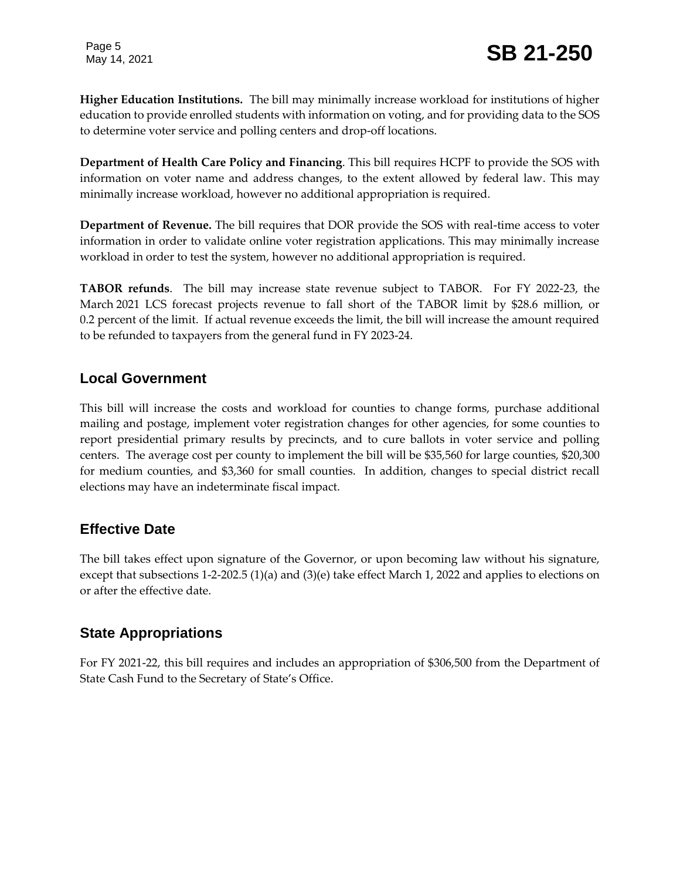Page 5

**Higher Education Institutions.** The bill may minimally increase workload for institutions of higher education to provide enrolled students with information on voting, and for providing data to the SOS to determine voter service and polling centers and drop-off locations.

**Department of Health Care Policy and Financing**. This bill requires HCPF to provide the SOS with information on voter name and address changes, to the extent allowed by federal law. This may minimally increase workload, however no additional appropriation is required.

**Department of Revenue.** The bill requires that DOR provide the SOS with real-time access to voter information in order to validate online voter registration applications. This may minimally increase workload in order to test the system, however no additional appropriation is required.

**TABOR refunds**. The bill may increase state revenue subject to TABOR. For FY 2022-23, the March 2021 LCS forecast projects revenue to fall short of the TABOR limit by \$28.6 million, or 0.2 percent of the limit. If actual revenue exceeds the limit, the bill will increase the amount required to be refunded to taxpayers from the general fund in FY 2023-24.

## **Local Government**

This bill will increase the costs and workload for counties to change forms, purchase additional mailing and postage, implement voter registration changes for other agencies, for some counties to report presidential primary results by precincts, and to cure ballots in voter service and polling centers. The average cost per county to implement the bill will be \$35,560 for large counties, \$20,300 for medium counties, and \$3,360 for small counties. In addition, changes to special district recall elections may have an indeterminate fiscal impact.

## **Effective Date**

The bill takes effect upon signature of the Governor, or upon becoming law without his signature, except that subsections 1-2-202.5 (1)(a) and (3)(e) take effect March 1, 2022 and applies to elections on or after the effective date.

# **State Appropriations**

For FY 2021-22, this bill requires and includes an appropriation of \$306,500 from the Department of State Cash Fund to the Secretary of State's Office.